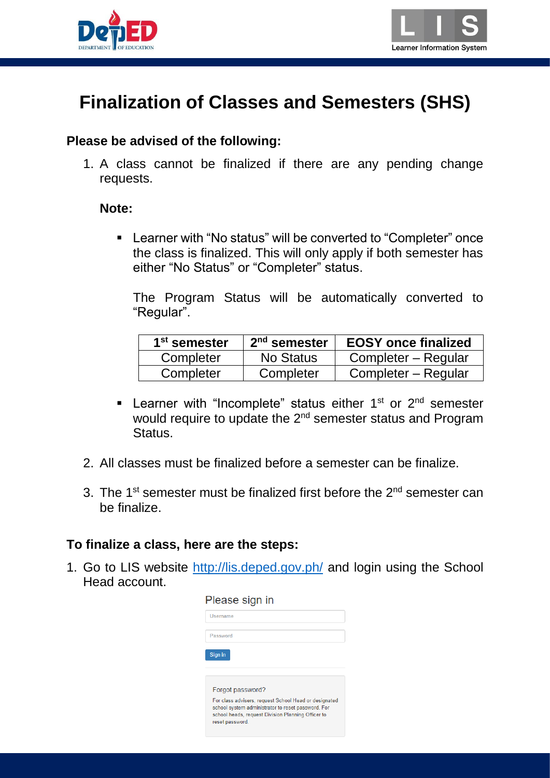



# **Finalization of Classes and Semesters (SHS)**

#### **Please be advised of the following:**

1. A class cannot be finalized if there are any pending change requests.

#### **Note:**

 Learner with "No status" will be converted to "Completer" once the class is finalized. This will only apply if both semester has either "No Status" or "Completer" status.

The Program Status will be automatically converted to "Regular".

| 1 <sup>st</sup> semester | $2nd$ semester | <b>EOSY</b> once finalized |
|--------------------------|----------------|----------------------------|
| Completer                | No Status      | Completer – Regular        |
| Completer                | Completer      | Completer – Regular        |

- **Learner with "Incomplete" status either 1st or 2<sup>nd</sup> semester** would require to update the 2<sup>nd</sup> semester status and Program Status.
- 2. All classes must be finalized before a semester can be finalize.
- 3. The  $1^{st}$  semester must be finalized first before the  $2^{nd}$  semester can be finalize.

#### **To finalize a class, here are the steps:**

1. Go to LIS website<http://lis.deped.gov.ph/> and login using the School Head account.

| Please sign in                                                                                           |
|----------------------------------------------------------------------------------------------------------|
| Username                                                                                                 |
| Password                                                                                                 |
|                                                                                                          |
|                                                                                                          |
| Forgot password?                                                                                         |
| For class advisers, request School Head or designated                                                    |
| school system administrator to reset password. For<br>school heads, request Division Planning Officer to |
|                                                                                                          |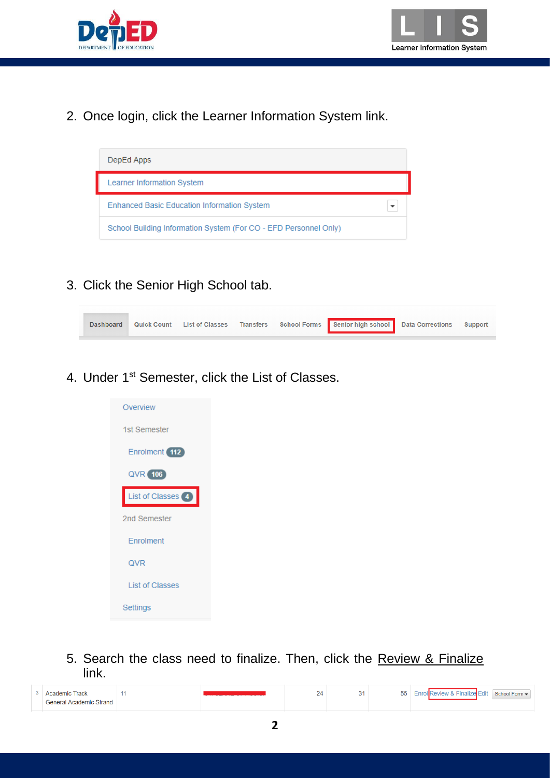



2. Once login, click the Learner Information System link.



3. Click the Senior High School tab.



4. Under 1<sup>st</sup> Semester, click the List of Classes.



5. Search the class need to finalize. Then, click the Review & Finalize link.

| Track<br>Academic       |  | - | <b>EE</b><br>◡ | <b>Enrol Review &amp; Finalize Fdit</b><br>School Form - |
|-------------------------|--|---|----------------|----------------------------------------------------------|
| General Academic Strand |  |   |                |                                                          |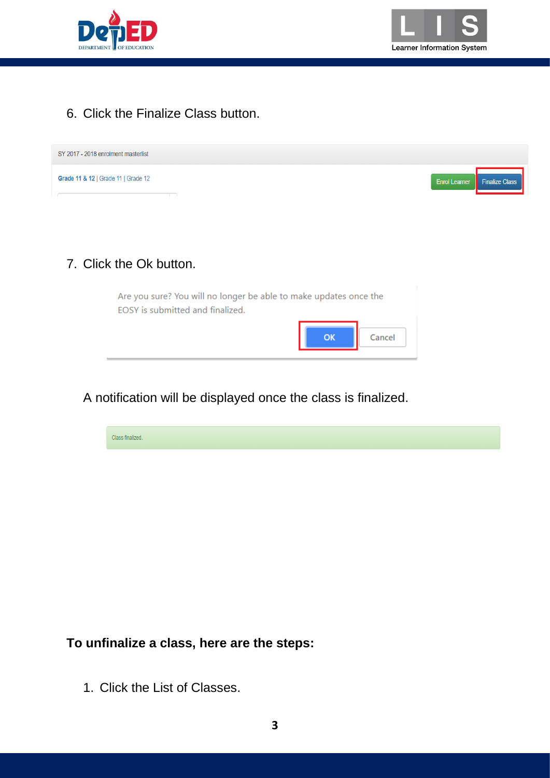



### 6. Click the Finalize Class button.

| SY 2017 - 2018 enrolment masterlist                                                                   |                                               |
|-------------------------------------------------------------------------------------------------------|-----------------------------------------------|
| Grade 11 & 12   Grade 11   Grade 12                                                                   | <b>Enrol Learner</b><br><b>Finalize Class</b> |
|                                                                                                       |                                               |
|                                                                                                       |                                               |
| 7. Click the Ok button.                                                                               |                                               |
|                                                                                                       |                                               |
| Are you sure? You will no longer be able to make updates once the<br>EOSY is submitted and finalized. |                                               |

A notification will be displayed once the class is finalized.



ОK

Cancel

**To unfinalize a class, here are the steps:**

1. Click the List of Classes.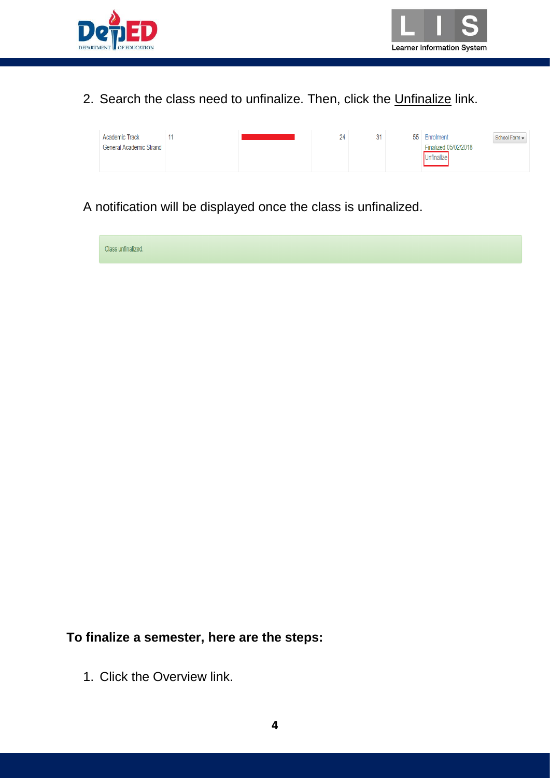



### 2. Search the class need to unfinalize. Then, click the Unfinalize link.

| <b>Academic Track</b>          |  | 24 | 31 | 55 Enrolment         | School Form $\blacktriangledown$ |
|--------------------------------|--|----|----|----------------------|----------------------------------|
| <b>General Academic Strand</b> |  |    |    | Finalized 05/02/2018 |                                  |
|                                |  |    |    | nfinalizr            |                                  |
|                                |  |    |    |                      |                                  |

### A notification will be displayed once the class is unfinalized.

Class unfinalized.

### **To finalize a semester, here are the steps:**

1. Click the Overview link.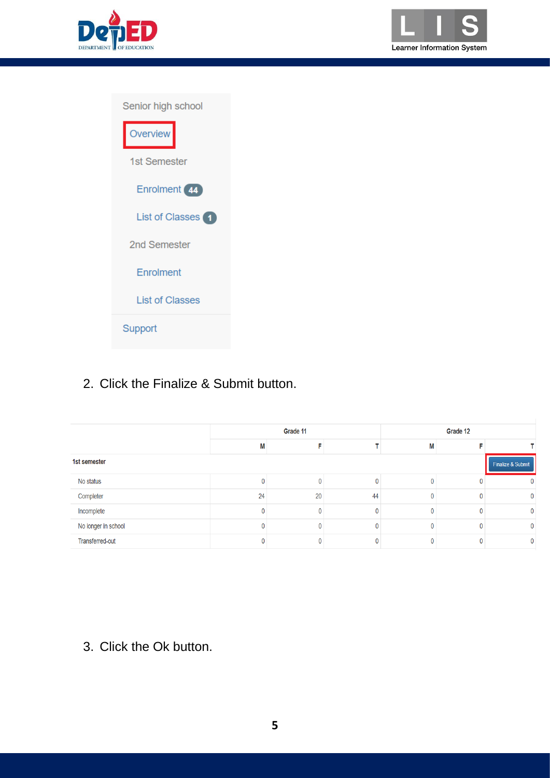



| Senior high school     |  |  |  |  |  |
|------------------------|--|--|--|--|--|
| Overview               |  |  |  |  |  |
| 1st Semester           |  |  |  |  |  |
| Enrolment (44)         |  |  |  |  |  |
| List of Classes 1      |  |  |  |  |  |
| 2nd Semester           |  |  |  |  |  |
| Enrolment              |  |  |  |  |  |
| <b>List of Classes</b> |  |  |  |  |  |
| Support                |  |  |  |  |  |

# 2. Click the Finalize & Submit button.

|                     |    | Grade 11 |    | Grade 12 |  |                   |  |  |  |
|---------------------|----|----------|----|----------|--|-------------------|--|--|--|
|                     | М  |          |    | М        |  |                   |  |  |  |
| 1st semester        |    |          |    |          |  | Finalize & Submit |  |  |  |
| No status           |    |          |    |          |  | 0                 |  |  |  |
| Completer           | 24 | 20       | 44 | 0        |  | $\mathbf{0}$      |  |  |  |
| Incomplete          |    |          |    | 0        |  | $\mathbf{0}$      |  |  |  |
| No longer in school |    |          |    | Λ        |  | 0                 |  |  |  |
| Transferred-out     |    |          |    |          |  | $\mathbf{0}$      |  |  |  |

3. Click the Ok button.